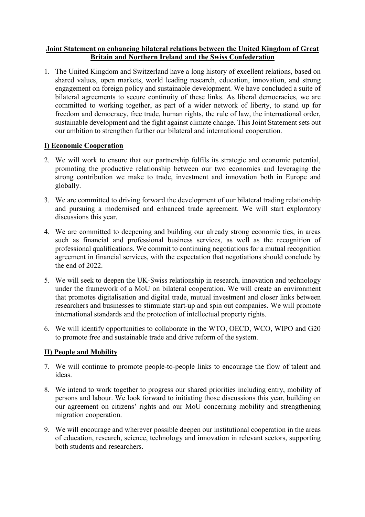## Joint Statement on enhancing bilateral relations between the United Kingdom of Great Britain and Northern Ireland and the Swiss Confederation

1. The United Kingdom and Switzerland have a long history of excellent relations, based on shared values, open markets, world leading research, education, innovation, and strong engagement on foreign policy and sustainable development. We have concluded a suite of bilateral agreements to secure continuity of these links. As liberal democracies, we are committed to working together, as part of a wider network of liberty, to stand up for freedom and democracy, free trade, human rights, the rule of law, the international order, sustainable development and the fight against climate change. This Joint Statement sets out our ambition to strengthen further our bilateral and international cooperation.

## I) Economic Cooperation

- 2. We will work to ensure that our partnership fulfils its strategic and economic potential, promoting the productive relationship between our two economies and leveraging the strong contribution we make to trade, investment and innovation both in Europe and globally.
- 3. We are committed to driving forward the development of our bilateral trading relationship and pursuing a modernised and enhanced trade agreement. We will start exploratory discussions this year.
- 4. We are committed to deepening and building our already strong economic ties, in areas such as financial and professional business services, as well as the recognition of professional qualifications. We commit to continuing negotiations for a mutual recognition agreement in financial services, with the expectation that negotiations should conclude by the end of 2022.
- 5. We will seek to deepen the UK-Swiss relationship in research, innovation and technology under the framework of a MoU on bilateral cooperation. We will create an environment that promotes digitalisation and digital trade, mutual investment and closer links between researchers and businesses to stimulate start-up and spin out companies. We will promote international standards and the protection of intellectual property rights.
- 6. We will identify opportunities to collaborate in the WTO, OECD, WCO, WIPO and G20 to promote free and sustainable trade and drive reform of the system.

## II) People and Mobility

- 7. We will continue to promote people-to-people links to encourage the flow of talent and ideas.
- 8. We intend to work together to progress our shared priorities including entry, mobility of persons and labour. We look forward to initiating those discussions this year, building on our agreement on citizens' rights and our MoU concerning mobility and strengthening migration cooperation.
- 9. We will encourage and wherever possible deepen our institutional cooperation in the areas of education, research, science, technology and innovation in relevant sectors, supporting both students and researchers.